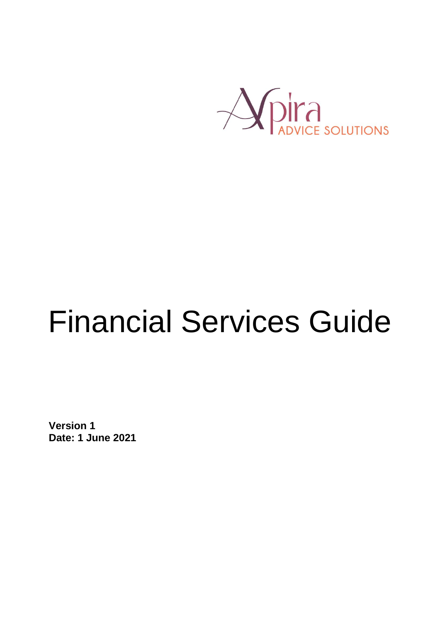

# Financial Services Guide

**Version 1 Date: 1 June 2021**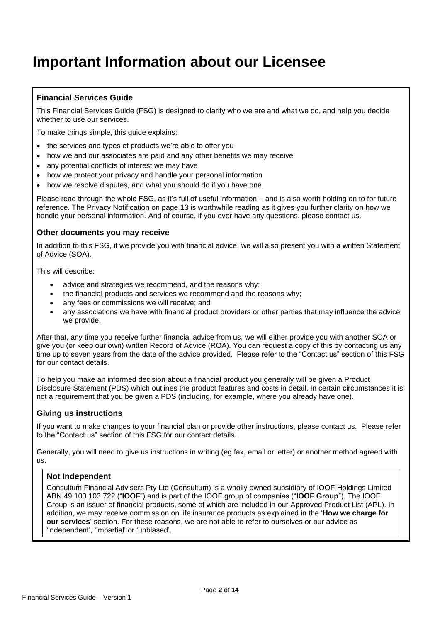### **Important Information about our Licensee**

### **Financial Services Guide**

This Financial Services Guide (FSG) is designed to clarify who we are and what we do, and help you decide whether to use our services.

To make things simple, this guide explains:

- the services and types of products we're able to offer you
- how we and our associates are paid and any other benefits we may receive
- any potential conflicts of interest we may have
- how we protect your privacy and handle your personal information
- how we resolve disputes, and what you should do if you have one.

Please read through the whole FSG, as it's full of useful information – and is also worth holding on to for future reference. The Privacy Notification on page 13 is worthwhile reading as it gives you further clarity on how we handle your personal information. And of course, if you ever have any questions, please contact us.

#### **Other documents you may receive**

In addition to this FSG, if we provide you with financial advice, we will also present you with a written Statement of Advice (SOA).

This will describe:

- advice and strategies we recommend, and the reasons why;
- the financial products and services we recommend and the reasons why;
- any fees or commissions we will receive; and
- any associations we have with financial product providers or other parties that may influence the advice we provide.

After that, any time you receive further financial advice from us, we will either provide you with another SOA or give you (or keep our own) written Record of Advice (ROA). You can request a copy of this by contacting us any time up to seven years from the date of the advice provided. Please refer to the "Contact us" section of this FSG for our contact details.

To help you make an informed decision about a financial product you generally will be given a Product Disclosure Statement (PDS) which outlines the product features and costs in detail. In certain circumstances it is not a requirement that you be given a PDS (including, for example, where you already have one).

#### **Giving us instructions**

If you want to make changes to your financial plan or provide other instructions, please contact us. Please refer to the "Contact us" section of this FSG for our contact details.

Generally, you will need to give us instructions in writing (eg fax, email or letter) or another method agreed with us.

#### **Not Independent**

Consultum Financial Advisers Pty Ltd (Consultum) is a wholly owned subsidiary of IOOF Holdings Limited ABN 49 100 103 722 ("**IOOF**") and is part of the IOOF group of companies ("**IOOF Group**"). The IOOF Group is an issuer of financial products, some of which are included in our Approved Product List (APL). In addition, we may receive commission on life insurance products as explained in the '**How we charge for our services**' section. For these reasons, we are not able to refer to ourselves or our advice as 'independent', 'impartial' or 'unbiased'.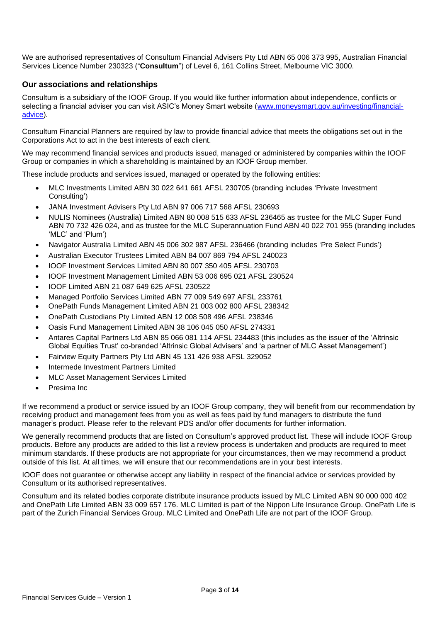We are authorised representatives of Consultum Financial Advisers Pty Ltd ABN 65 006 373 995, Australian Financial Services Licence Number 230323 ("**Consultum**") of Level 6, 161 Collins Street, Melbourne VIC 3000.

#### **Our associations and relationships**

Consultum is a subsidiary of the IOOF Group. If you would like further information about independence, conflicts or selecting a financial adviser you can visit ASIC's Money Smart website [\(www.moneysmart.gov.au/investing/financial](https://www.moneysmart.gov.au/investing/financial-advice)[advice\)](https://www.moneysmart.gov.au/investing/financial-advice).

Consultum Financial Planners are required by law to provide financial advice that meets the obligations set out in the Corporations Act to act in the best interests of each client.

We may recommend financial services and products issued, managed or administered by companies within the IOOF Group or companies in which a shareholding is maintained by an IOOF Group member.

These include products and services issued, managed or operated by the following entities:

- MLC Investments Limited ABN 30 022 641 661 AFSL 230705 (branding includes 'Private Investment Consulting')
- JANA Investment Advisers Pty Ltd ABN 97 006 717 568 AFSL 230693
- NULIS Nominees (Australia) Limited ABN 80 008 515 633 AFSL 236465 as trustee for the MLC Super Fund ABN 70 732 426 024, and as trustee for the MLC Superannuation Fund ABN 40 022 701 955 (branding includes 'MLC' and 'Plum')
- Navigator Australia Limited ABN 45 006 302 987 AFSL 236466 (branding includes 'Pre Select Funds')
- Australian Executor Trustees Limited ABN 84 007 869 794 AFSL 240023
- IOOF Investment Services Limited ABN 80 007 350 405 AFSL 230703
- IOOF Investment Management Limited ABN 53 006 695 021 AFSL 230524
- IOOF Limited ABN 21 087 649 625 AFSL 230522
- Managed Portfolio Services Limited ABN 77 009 549 697 AFSL 233761
- OnePath Funds Management Limited ABN 21 003 002 800 AFSL 238342
- OnePath Custodians Pty Limited ABN 12 008 508 496 AFSL 238346
- Oasis Fund Management Limited ABN 38 106 045 050 AFSL 274331
- Antares Capital Partners Ltd ABN 85 066 081 114 AFSL 234483 (this includes as the issuer of the 'Altrinsic Global Equities Trust' co-branded 'Altrinsic Global Advisers' and 'a partner of MLC Asset Management')
- Fairview Equity Partners Pty Ltd ABN 45 131 426 938 AFSL 329052
- Intermede Investment Partners Limited
- MLC Asset Management Services Limited
- Presima Inc

If we recommend a product or service issued by an IOOF Group company, they will benefit from our recommendation by receiving product and management fees from you as well as fees paid by fund managers to distribute the fund manager's product. Please refer to the relevant PDS and/or offer documents for further information.

We generally recommend products that are listed on Consultum's approved product list. These will include IOOF Group products. Before any products are added to this list a review process is undertaken and products are required to meet minimum standards. If these products are not appropriate for your circumstances, then we may recommend a product outside of this list. At all times, we will ensure that our recommendations are in your best interests.

IOOF does not guarantee or otherwise accept any liability in respect of the financial advice or services provided by Consultum or its authorised representatives.

Consultum and its related bodies corporate distribute insurance products issued by MLC Limited ABN 90 000 000 402 and OnePath Life Limited ABN 33 009 657 176. MLC Limited is part of the Nippon Life Insurance Group. OnePath Life is part of the Zurich Financial Services Group. MLC Limited and OnePath Life are not part of the IOOF Group.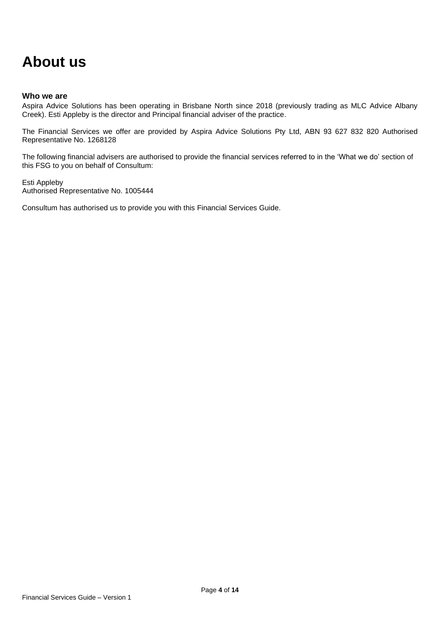### **About us**

#### **Who we are**

Aspira Advice Solutions has been operating in Brisbane North since 2018 (previously trading as MLC Advice Albany Creek). Esti Appleby is the director and Principal financial adviser of the practice.

The Financial Services we offer are provided by Aspira Advice Solutions Pty Ltd, ABN 93 627 832 820 Authorised Representative No. 1268128

The following financial advisers are authorised to provide the financial services referred to in the 'What we do' section of this FSG to you on behalf of Consultum:

Esti Appleby Authorised Representative No. 1005444

Consultum has authorised us to provide you with this Financial Services Guide.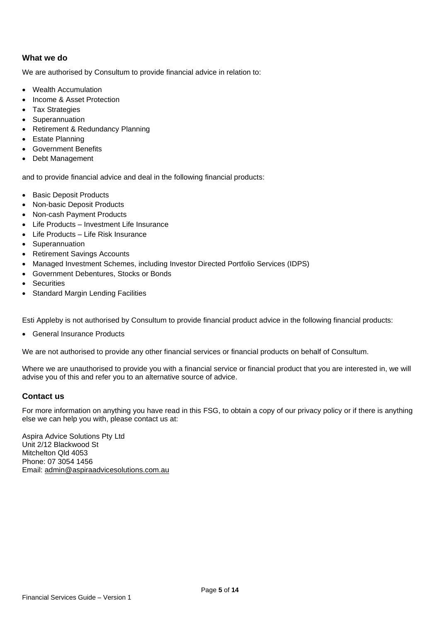#### **What we do**

We are authorised by Consultum to provide financial advice in relation to:

- Wealth Accumulation
- Income & Asset Protection
- **Tax Strategies**
- Superannuation
- Retirement & Redundancy Planning
- Estate Planning
- Government Benefits
- Debt Management

and to provide financial advice and deal in the following financial products:

- Basic Deposit Products
- Non-basic Deposit Products
- Non-cash Payment Products
- Life Products Investment Life Insurance
- Life Products Life Risk Insurance
- Superannuation
- Retirement Savings Accounts
- Managed Investment Schemes, including Investor Directed Portfolio Services (IDPS)
- Government Debentures, Stocks or Bonds
- Securities
- Standard Margin Lending Facilities

Esti Appleby is not authorised by Consultum to provide financial product advice in the following financial products:

• General Insurance Products

We are not authorised to provide any other financial services or financial products on behalf of Consultum.

Where we are unauthorised to provide you with a financial service or financial product that you are interested in, we will advise you of this and refer you to an alternative source of advice.

#### **Contact us**

For more information on anything you have read in this FSG, to obtain a copy of our privacy policy or if there is anything else we can help you with, please contact us at:

Aspira Advice Solutions Pty Ltd Unit 2/12 Blackwood St Mitchelton Qld 4053 Phone: 07 3054 1456 Email: [admin@aspiraadvicesolutions.com.au](mailto:admin@aspiraadvicesolutions.com.au)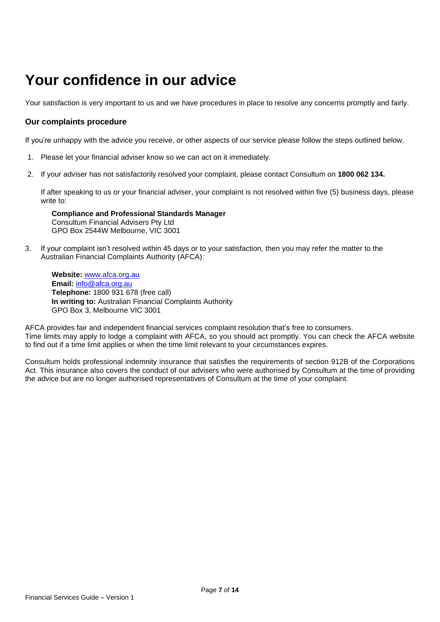### **Your confidence in our advice**

Your satisfaction is very important to us and we have procedures in place to resolve any concerns promptly and fairly.

#### **Our complaints procedure**

If you're unhappy with the advice you receive, or other aspects of our service please follow the steps outlined below.

- 1. Please let your financial adviser know so we can act on it immediately.
- 2. If your adviser has not satisfactorily resolved your complaint, please contact Consultum on **1800 062 134.**

If after speaking to us or your financial adviser, your complaint is not resolved within five (5) business days, please write to:

**Compliance and Professional Standards Manager**  Consultum Financial Advisers Pty Ltd GPO Box 2544W Melbourne, VIC 3001

3. If your complaint isn't resolved within 45 days or to your satisfaction, then you may refer the matter to the Australian Financial Complaints Authority (AFCA):

**Website:** [www.afca.org.au](file:///C:/Users/p780057/AppData/Local/P769641/AppData/Local/Microsoft/Windows/Temporary%20Internet%20Files/Content.Outlook/NKQR1889/www.afca.org.au) **Email:** [info@afca.org.au](mailto:info@afca.org.au) **Telephone:** 1800 931 678 (free call) **In writing to:** Australian Financial Complaints Authority GPO Box 3, Melbourne VIC 3001

AFCA provides fair and independent financial services complaint resolution that's free to consumers. Time limits may apply to lodge a complaint with AFCA, so you should act promptly. You can check the AFCA website to find out if a time limit applies or when the time limit relevant to your circumstances expires.

Consultum holds professional indemnity insurance that satisfies the requirements of section 912B of the Corporations Act. This insurance also covers the conduct of our advisers who were authorised by Consultum at the time of providing the advice but are no longer authorised representatives of Consultum at the time of your complaint.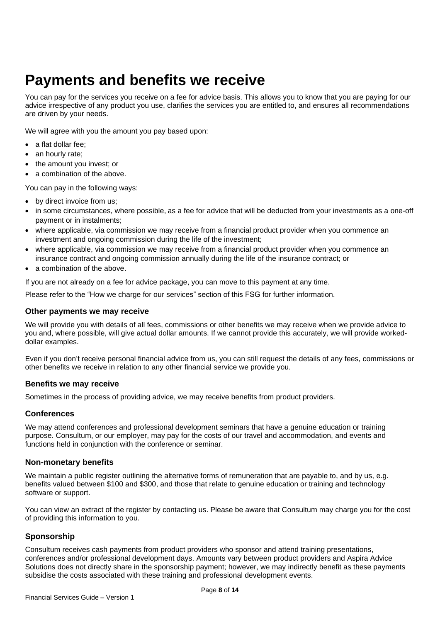### **Payments and benefits we receive**

You can pay for the services you receive on a fee for advice basis. This allows you to know that you are paying for our advice irrespective of any product you use, clarifies the services you are entitled to, and ensures all recommendations are driven by your needs.

We will agree with you the amount you pay based upon:

- a flat dollar fee;
- an hourly rate;
- the amount you invest; or
- a combination of the above.

You can pay in the following ways:

- by direct invoice from us;
- in some circumstances, where possible, as a fee for advice that will be deducted from your investments as a one-off payment or in instalments;
- where applicable, via commission we may receive from a financial product provider when you commence an investment and ongoing commission during the life of the investment;
- where applicable, via commission we may receive from a financial product provider when you commence an insurance contract and ongoing commission annually during the life of the insurance contract; or
- a combination of the above.

If you are not already on a fee for advice package, you can move to this payment at any time.

Please refer to the "How we charge for our services" section of this FSG for further information.

#### **Other payments we may receive**

We will provide you with details of all fees, commissions or other benefits we may receive when we provide advice to you and, where possible, will give actual dollar amounts. If we cannot provide this accurately, we will provide workeddollar examples.

Even if you don't receive personal financial advice from us, you can still request the details of any fees, commissions or other benefits we receive in relation to any other financial service we provide you.

#### **Benefits we may receive**

Sometimes in the process of providing advice, we may receive benefits from product providers.

#### **Conferences**

We may attend conferences and professional development seminars that have a genuine education or training purpose. Consultum, or our employer, may pay for the costs of our travel and accommodation, and events and functions held in conjunction with the conference or seminar.

#### **Non-monetary benefits**

We maintain a public register outlining the alternative forms of remuneration that are payable to, and by us, e.g. benefits valued between \$100 and \$300, and those that relate to genuine education or training and technology software or support.

You can view an extract of the register by contacting us. Please be aware that Consultum may charge you for the cost of providing this information to you.

#### **Sponsorship**

Consultum receives cash payments from product providers who sponsor and attend training presentations, conferences and/or professional development days. Amounts vary between product providers and Aspira Advice Solutions does not directly share in the sponsorship payment; however, we may indirectly benefit as these payments subsidise the costs associated with these training and professional development events.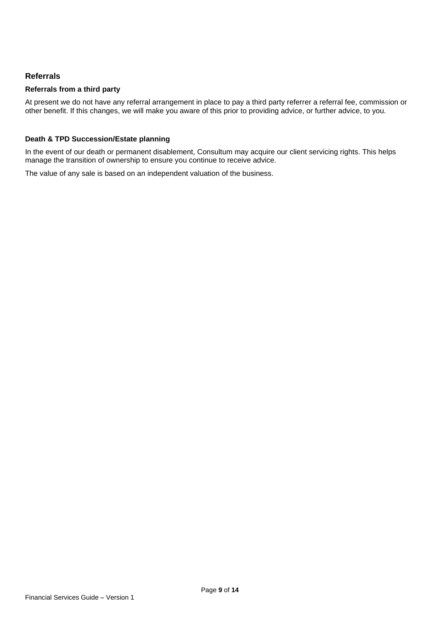#### **Referrals**

#### **Referrals from a third party**

At present we do not have any referral arrangement in place to pay a third party referrer a referral fee, commission or other benefit. If this changes, we will make you aware of this prior to providing advice, or further advice, to you.

#### **Death & TPD Succession/Estate planning**

In the event of our death or permanent disablement, Consultum may acquire our client servicing rights. This helps manage the transition of ownership to ensure you continue to receive advice.

The value of any sale is based on an independent valuation of the business.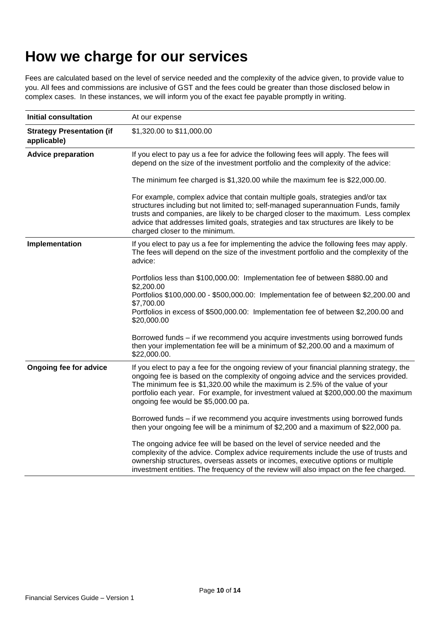### **How we charge for our services**

Fees are calculated based on the level of service needed and the complexity of the advice given, to provide value to you. All fees and commissions are inclusive of GST and the fees could be greater than those disclosed below in complex cases. In these instances, we will inform you of the exact fee payable promptly in writing.

| <b>Initial consultation</b>                     | At our expense                                                                                                                                                                                                                                                                                                                                                                                 |  |
|-------------------------------------------------|------------------------------------------------------------------------------------------------------------------------------------------------------------------------------------------------------------------------------------------------------------------------------------------------------------------------------------------------------------------------------------------------|--|
| <b>Strategy Presentation (if</b><br>applicable) | \$1,320.00 to \$11,000.00                                                                                                                                                                                                                                                                                                                                                                      |  |
| <b>Advice preparation</b>                       | If you elect to pay us a fee for advice the following fees will apply. The fees will<br>depend on the size of the investment portfolio and the complexity of the advice:                                                                                                                                                                                                                       |  |
|                                                 | The minimum fee charged is \$1,320.00 while the maximum fee is \$22,000.00.                                                                                                                                                                                                                                                                                                                    |  |
|                                                 | For example, complex advice that contain multiple goals, strategies and/or tax<br>structures including but not limited to; self-managed superannuation Funds, family<br>trusts and companies, are likely to be charged closer to the maximum. Less complex<br>advice that addresses limited goals, strategies and tax structures are likely to be<br>charged closer to the minimum.            |  |
| Implementation                                  | If you elect to pay us a fee for implementing the advice the following fees may apply.<br>The fees will depend on the size of the investment portfolio and the complexity of the<br>advice:                                                                                                                                                                                                    |  |
|                                                 | Portfolios less than \$100,000.00: Implementation fee of between \$880.00 and<br>\$2,200.00<br>Portfolios \$100,000.00 - \$500,000.00: Implementation fee of between \$2,200.00 and<br>\$7,700.00<br>Portfolios in excess of \$500,000.00: Implementation fee of between \$2,200.00 and<br>\$20,000.00                                                                                         |  |
|                                                 | Borrowed funds - if we recommend you acquire investments using borrowed funds<br>then your implementation fee will be a minimum of \$2,200.00 and a maximum of<br>\$22,000.00.                                                                                                                                                                                                                 |  |
| Ongoing fee for advice                          | If you elect to pay a fee for the ongoing review of your financial planning strategy, the<br>ongoing fee is based on the complexity of ongoing advice and the services provided.<br>The minimum fee is \$1,320.00 while the maximum is 2.5% of the value of your<br>portfolio each year. For example, for investment valued at \$200,000.00 the maximum<br>ongoing fee would be \$5,000.00 pa. |  |
|                                                 | Borrowed funds - if we recommend you acquire investments using borrowed funds<br>then your ongoing fee will be a minimum of \$2,200 and a maximum of \$22,000 pa.                                                                                                                                                                                                                              |  |
|                                                 | The ongoing advice fee will be based on the level of service needed and the<br>complexity of the advice. Complex advice requirements include the use of trusts and<br>ownership structures, overseas assets or incomes, executive options or multiple<br>investment entities. The frequency of the review will also impact on the fee charged.                                                 |  |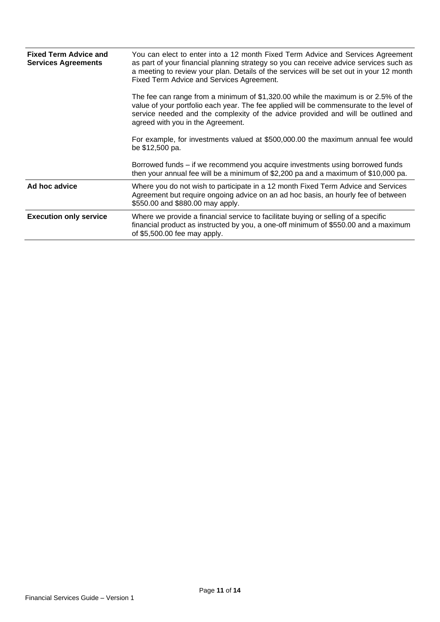| <b>Fixed Term Advice and</b><br><b>Services Agreements</b> | You can elect to enter into a 12 month Fixed Term Advice and Services Agreement<br>as part of your financial planning strategy so you can receive advice services such as<br>a meeting to review your plan. Details of the services will be set out in your 12 month<br>Fixed Term Advice and Services Agreement. |
|------------------------------------------------------------|-------------------------------------------------------------------------------------------------------------------------------------------------------------------------------------------------------------------------------------------------------------------------------------------------------------------|
|                                                            | The fee can range from a minimum of \$1,320.00 while the maximum is or 2.5% of the<br>value of your portfolio each year. The fee applied will be commensurate to the level of<br>service needed and the complexity of the advice provided and will be outlined and<br>agreed with you in the Agreement.           |
|                                                            | For example, for investments valued at \$500,000.00 the maximum annual fee would<br>be \$12,500 pa.                                                                                                                                                                                                               |
|                                                            | Borrowed funds – if we recommend you acquire investments using borrowed funds<br>then your annual fee will be a minimum of \$2,200 pa and a maximum of \$10,000 pa.                                                                                                                                               |
| Ad hoc advice                                              | Where you do not wish to participate in a 12 month Fixed Term Advice and Services<br>Agreement but require ongoing advice on an ad hoc basis, an hourly fee of between<br>\$550.00 and \$880.00 may apply.                                                                                                        |
| <b>Execution only service</b>                              | Where we provide a financial service to facilitate buying or selling of a specific<br>financial product as instructed by you, a one-off minimum of \$550.00 and a maximum<br>of \$5,500.00 fee may apply.                                                                                                         |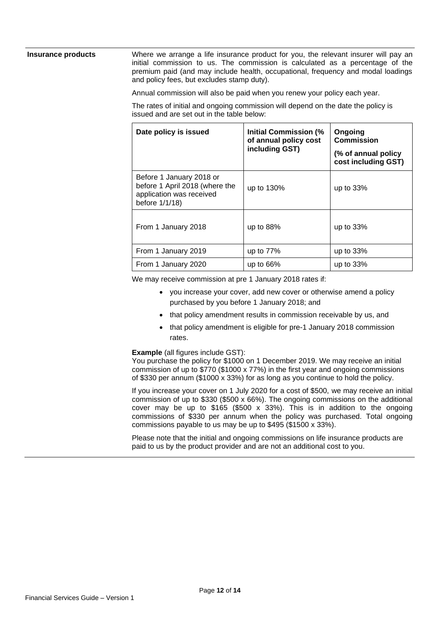**Insurance products** Where we arrange a life insurance product for you, the relevant insurer will pay an initial commission to us. The commission is calculated as a percentage of the premium paid (and may include health, occupational, frequency and modal loadings and policy fees, but excludes stamp duty).

Annual commission will also be paid when you renew your policy each year.

The rates of initial and ongoing commission will depend on the date the policy is issued and are set out in the table below:

| Date policy is issued                                                                                    | <b>Initial Commission (%</b><br>of annual policy cost<br>including GST) | Ongoing<br><b>Commission</b><br>(% of annual policy<br>cost including GST) |
|----------------------------------------------------------------------------------------------------------|-------------------------------------------------------------------------|----------------------------------------------------------------------------|
| Before 1 January 2018 or<br>before 1 April 2018 (where the<br>application was received<br>before 1/1/18) | up to 130%                                                              | up to 33%                                                                  |
| From 1 January 2018                                                                                      | up to $88%$                                                             | up to $33%$                                                                |
| From 1 January 2019                                                                                      | up to 77%                                                               | up to 33%                                                                  |
| From 1 January 2020                                                                                      | up to $66%$                                                             | up to $33%$                                                                |

We may receive commission at pre 1 January 2018 rates if:

- you increase your cover, add new cover or otherwise amend a policy purchased by you before 1 January 2018; and
- that policy amendment results in commission receivable by us, and
- that policy amendment is eligible for pre-1 January 2018 commission rates.

**Example** (all figures include GST):

You purchase the policy for \$1000 on 1 December 2019. We may receive an initial commission of up to \$770 (\$1000 x 77%) in the first year and ongoing commissions of \$330 per annum (\$1000 x 33%) for as long as you continue to hold the policy.

If you increase your cover on 1 July 2020 for a cost of \$500, we may receive an initial commission of up to  $$330$  (\$500 x 66%). The ongoing commissions on the additional cover may be up to  $$165$  (\$500 x 33%). This is in addition to the ongoing commissions of \$330 per annum when the policy was purchased. Total ongoing commissions payable to us may be up to \$495 (\$1500 x 33%).

Please note that the initial and ongoing commissions on life insurance products are paid to us by the product provider and are not an additional cost to you.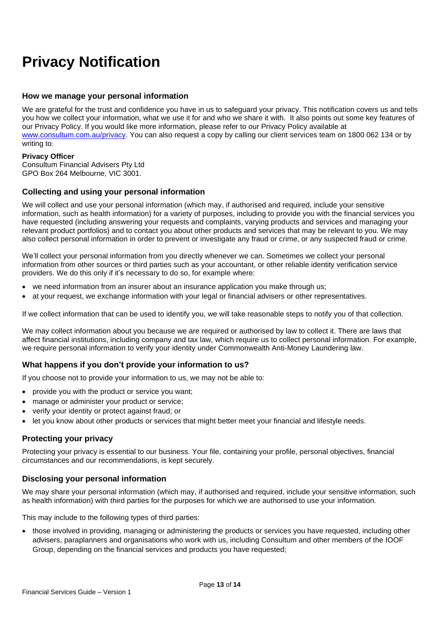## **Privacy Notification**

#### **How we manage your personal information**

We are grateful for the trust and confidence you have in us to safeguard your privacy. This notification covers us and tells you how we collect your information, what we use it for and who we share it with. It also points out some key features of our Privacy Policy. If you would like more information, please refer to our Privacy Policy available at [www.consultum.com.au/privacy.](http://www.consultum.com.au/privacy) You can also request a copy by calling our client services team on 1800 062 134 or by writing to:

#### **Privacy Officer**

Consultum Financial Advisers Pty Ltd GPO Box 264 Melbourne, VIC 3001.

#### **Collecting and using your personal information**

We will collect and use your personal information (which may, if authorised and required, include your sensitive information, such as health information) for a variety of purposes, including to provide you with the financial services you have requested (including answering your requests and complaints, varying products and services and managing your relevant product portfolios) and to contact you about other products and services that may be relevant to you. We may also collect personal information in order to prevent or investigate any fraud or crime, or any suspected fraud or crime.

We'll collect your personal information from you directly whenever we can. Sometimes we collect your personal information from other sources or third parties such as your accountant, or other reliable identity verification service providers. We do this only if it's necessary to do so, for example where:

- we need information from an insurer about an insurance application you make through us;
- at your request, we exchange information with your legal or financial advisers or other representatives.

If we collect information that can be used to identify you, we will take reasonable steps to notify you of that collection.

We may collect information about you because we are required or authorised by law to collect it. There are laws that affect financial institutions, including company and tax law, which require us to collect personal information. For example, we require personal information to verify your identity under Commonwealth Anti-Money Laundering law.

#### **What happens if you don't provide your information to us?**

If you choose not to provide your information to us, we may not be able to:

- provide you with the product or service you want;
- manage or administer your product or service;
- verify your identity or protect against fraud; or
- let you know about other products or services that might better meet your financial and lifestyle needs.

#### **Protecting your privacy**

Protecting your privacy is essential to our business. Your file, containing your profile, personal objectives, financial circumstances and our recommendations, is kept securely.

#### **Disclosing your personal information**

We may share your personal information (which may, if authorised and required, include your sensitive information, such as health information) with third parties for the purposes for which we are authorised to use your information.

This may include to the following types of third parties:

• those involved in providing, managing or administering the products or services you have requested, including other advisers, paraplanners and organisations who work with us, including Consultum and other members of the IOOF Group, depending on the financial services and products you have requested;